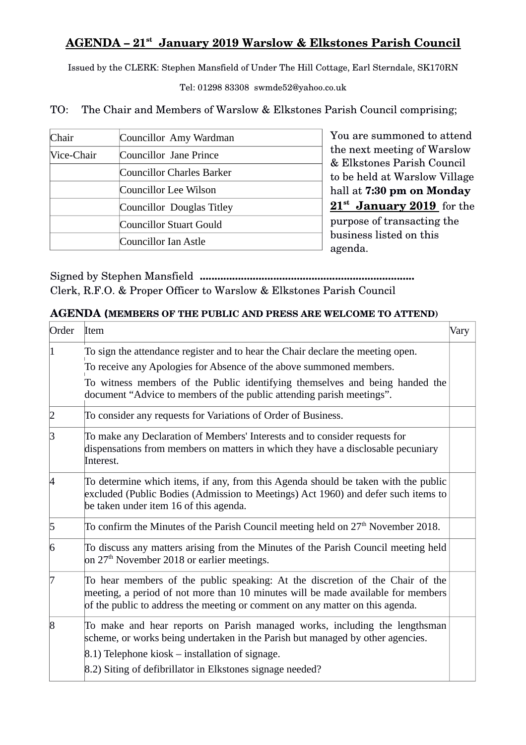## **AGENDA – 21st January 2019 Warslow & Elkstones Parish Council**

Issued by the CLERK: Stephen Mansfield of Under The Hill Cottage, Earl Sterndale, SK170RN

Tel: 01298 83308 swmde52@yahoo.co.uk

TO: The Chair and Members of Warslow & Elkstones Parish Council comprising;

| Chair      | Councillor Amy Wardman           |
|------------|----------------------------------|
| Vice-Chair | Councillor Jane Prince           |
|            | <b>Councillor Charles Barker</b> |
|            | Councillor Lee Wilson            |
|            | Councillor Douglas Titley        |
|            | Councillor Stuart Gould          |
|            | Councillor Ian Astle             |

You are summoned to attend the next meeting of Warslow & Elkstones Parish Council to be held at Warslow Village hall at **7:30 pm on Monday 21st January 2019**  for the purpose of transacting the business listed on this agenda.

Signed by Stephen Mansfield **.........................................................................** Clerk, R.F.O. & Proper Officer to Warslow & Elkstones Parish Council

## **AGENDA (MEMBERS OF THE PUBLIC AND PRESS ARE WELCOME TO ATTEND)**

| Order          | Item                                                                                                                                                                                                                                               | Vary |
|----------------|----------------------------------------------------------------------------------------------------------------------------------------------------------------------------------------------------------------------------------------------------|------|
| $\vert 1$      | To sign the attendance register and to hear the Chair declare the meeting open.<br>To receive any Apologies for Absence of the above summoned members.<br>To witness members of the Public identifying themselves and being handed the             |      |
|                | document "Advice to members of the public attending parish meetings".                                                                                                                                                                              |      |
| 2              | To consider any requests for Variations of Order of Business.                                                                                                                                                                                      |      |
| З              | To make any Declaration of Members' Interests and to consider requests for<br>dispensations from members on matters in which they have a disclosable pecuniary<br>Interest.                                                                        |      |
| 4              | To determine which items, if any, from this Agenda should be taken with the public<br>excluded (Public Bodies (Admission to Meetings) Act 1960) and defer such items to<br>be taken under item 16 of this agenda.                                  |      |
| $\overline{5}$ | To confirm the Minutes of the Parish Council meeting held on $27th$ November 2018.                                                                                                                                                                 |      |
| $\overline{6}$ | To discuss any matters arising from the Minutes of the Parish Council meeting held<br>on $27th$ November 2018 or earlier meetings.                                                                                                                 |      |
| 17             | To hear members of the public speaking: At the discretion of the Chair of the<br>meeting, a period of not more than 10 minutes will be made available for members<br>of the public to address the meeting or comment on any matter on this agenda. |      |
| $\overline{8}$ | To make and hear reports on Parish managed works, including the lengthsman<br>scheme, or works being undertaken in the Parish but managed by other agencies.<br>8.1) Telephone kiosk – installation of signage.                                    |      |
|                | 8.2) Siting of defibrillator in Elkstones signage needed?                                                                                                                                                                                          |      |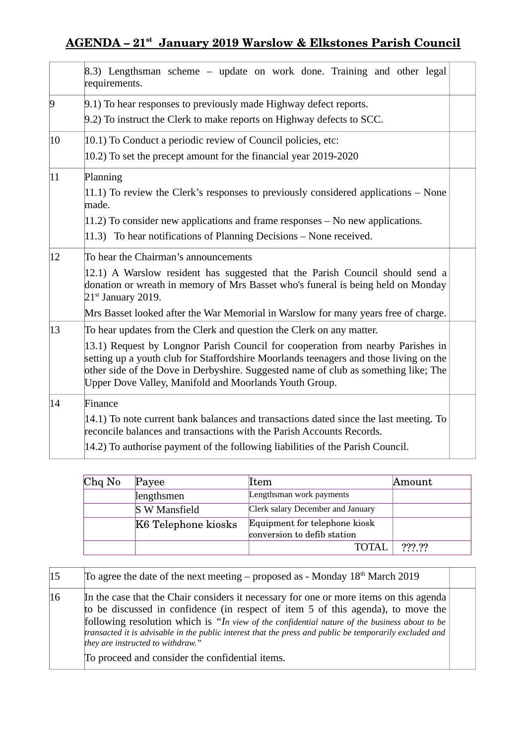## **AGENDA – 21st January 2019 Warslow & Elkstones Parish Council**

|                | 8.3) Lengthsman scheme – update on work done. Training and other legal<br>requirements.                                                                                                                                                                                                                                                                                                           |  |  |
|----------------|---------------------------------------------------------------------------------------------------------------------------------------------------------------------------------------------------------------------------------------------------------------------------------------------------------------------------------------------------------------------------------------------------|--|--|
| $\overline{9}$ | 9.1) To hear responses to previously made Highway defect reports.<br>9.2) To instruct the Clerk to make reports on Highway defects to SCC.                                                                                                                                                                                                                                                        |  |  |
| 10             | $ 10.1\rangle$ To Conduct a periodic review of Council policies, etc:<br>$ 10.2\rangle$ To set the precept amount for the financial year 2019-2020                                                                                                                                                                                                                                                |  |  |
| $ 11\rangle$   | Planning<br>$ 11.1\rangle$ To review the Clerk's responses to previously considered applications – None<br>made.<br>$ 11.2\rangle$ To consider new applications and frame responses – No new applications.<br>$ 11.3\rangle$ To hear notifications of Planning Decisions – None received.                                                                                                         |  |  |
| 12             | To hear the Chairman's announcements<br>12.1) A Warslow resident has suggested that the Parish Council should send a<br>donation or wreath in memory of Mrs Basset who's funeral is being held on Monday<br>$21st$ January 2019.<br>Mrs Basset looked after the War Memorial in Warslow for many years free of charge.                                                                            |  |  |
| $ 13\rangle$   | To hear updates from the Clerk and question the Clerk on any matter.<br>13.1) Request by Longnor Parish Council for cooperation from nearby Parishes in<br>setting up a youth club for Staffordshire Moorlands teenagers and those living on the<br>other side of the Dove in Derbyshire. Suggested name of club as something like; The<br>Upper Dove Valley, Manifold and Moorlands Youth Group. |  |  |
| 14             | Finance<br>14.1) To note current bank balances and transactions dated since the last meeting. To<br>reconcile balances and transactions with the Parish Accounts Records.<br>14.2) To authorise payment of the following liabilities of the Parish Council.                                                                                                                                       |  |  |

| $Chq$ No | Payee                | ltem                                                         | Amount |
|----------|----------------------|--------------------------------------------------------------|--------|
|          | lengthsmen           | Lengthsman work payments                                     |        |
|          | <b>S W Mansfield</b> | Clerk salary December and January                            |        |
|          | K6 Telephone kiosks  | Equipment for telephone kiosk<br>conversion to defib station |        |
|          |                      | TOTAL                                                        | ??? ?? |

| 15 | To agree the date of the next meeting – proposed as - Monday $18th$ March 2019                                                                                                                                                                                                                                                                                                                                              |  |
|----|-----------------------------------------------------------------------------------------------------------------------------------------------------------------------------------------------------------------------------------------------------------------------------------------------------------------------------------------------------------------------------------------------------------------------------|--|
| 16 | In the case that the Chair considers it necessary for one or more items on this agenda<br>to be discussed in confidence (in respect of item 5 of this agenda), to move the<br>following resolution which is "In view of the confidential nature of the business about to be<br>transacted it is advisable in the public interest that the press and public be temporarily excluded and<br>they are instructed to withdraw." |  |
|    | To proceed and consider the confidential items.                                                                                                                                                                                                                                                                                                                                                                             |  |